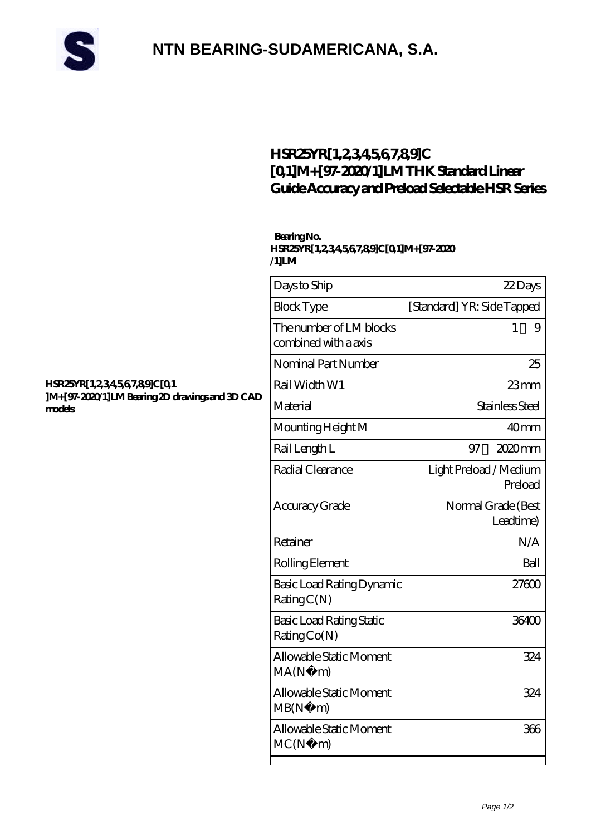

## **[NTN BEARING-SUDAMERICANA, S.A.](https://cyberfembot.com)**

### **[HSR25YR\[1,2,3,4,5,6,7,8,9\]C](https://cyberfembot.com/thk-linear-guide-rails/hsr25yr-1-2-3-4-5-6-7-8-9-c-0-1-m-97-2020-1-lm.html) [\[0,1\]M+\[97-2020/1\]LM THK Standard Linear](https://cyberfembot.com/thk-linear-guide-rails/hsr25yr-1-2-3-4-5-6-7-8-9-c-0-1-m-97-2020-1-lm.html) [Guide Accuracy and Preload Selectable HSR Series](https://cyberfembot.com/thk-linear-guide-rails/hsr25yr-1-2-3-4-5-6-7-8-9-c-0-1-m-97-2020-1-lm.html)**

### **Bearing No.**

**HSR25YR[1,2,3,4,5,6,7,8,9]C[0,1]M+[97-2020 /1]LM**

| AD | Days to Ship                                    | 22Days                            |
|----|-------------------------------------------------|-----------------------------------|
|    | <b>Block Type</b>                               | [Standard] YR: Side Tapped        |
|    | The number of LM blocks<br>combined with a axis | 1<br>9                            |
|    | Nominal Part Number                             | 25                                |
|    | Rail Width W1                                   | $23$ mm                           |
|    | Material                                        | Stainless Steel                   |
|    | Mounting Height M                               | 40mm                              |
|    | Rail Length L                                   | $2020$ mm<br>97                   |
|    | Radial Clearance                                | Light Preload / Medium<br>Preload |
|    | Accuracy Grade                                  | Normal Grade (Best<br>Leadtime)   |
|    | Retainer                                        | N/A                               |
|    | Rolling Element                                 | Ball                              |
|    | Basic Load Rating Dynamic<br>RatingC(N)         | 27600                             |
|    | Basic Load Rating Static<br>RatingCo(N)         | 36400                             |
|    | Allowable Static Moment<br>MA(N)<br>m)          | 324                               |
|    | Allowable Static Moment<br>MB(N)<br>m)          | 324                               |
|    | Allowable Static Moment<br>MC(N)<br>m)          | 366                               |
|    |                                                 |                                   |

#### **[HSR25YR\[1,2,3,4,5,6,7,8,9\]C\[0,1](https://cyberfembot.com/pic-997615.html) ]M+** [97-2020/1] **LM Bearing 2D drawings and 3D C [models](https://cyberfembot.com/pic-997615.html)**